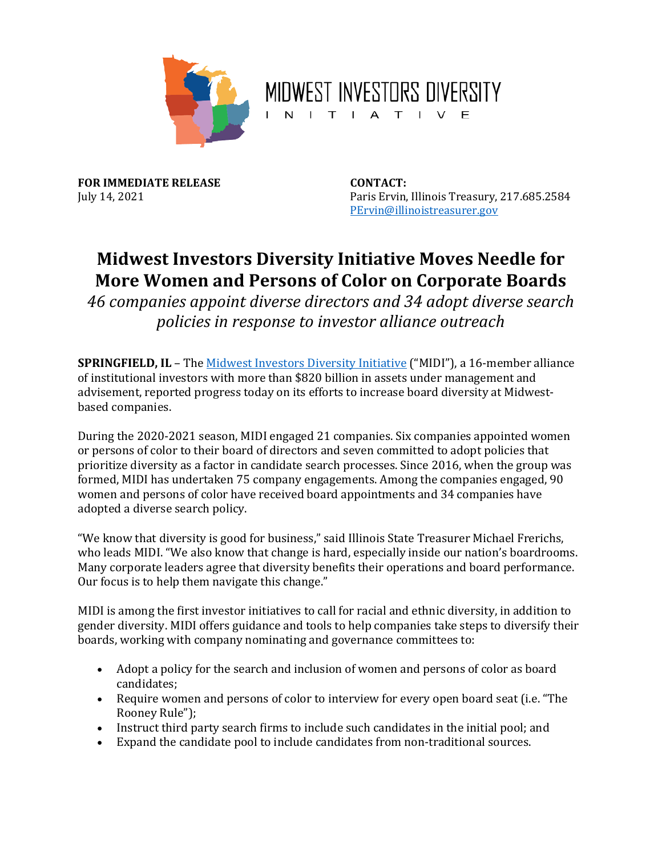

MIDWEST INVESTORS DIVERSITY **INITIATIVE** 

**FOR IMMEDIATE RELEASE CONTACT:** July 14, 2021

Paris Ervin, Illinois Treasury, 217.685.2584 [PErvin@illinoistreasurer.gov](mailto:PErvin@illinoistreasurer.gov) 

## **Midwest Investors Diversity Initiative Moves Needle for More Women and Persons of Color on Corporate Boards**

 *policies in response to investor alliance outreach 46 companies appoint diverse directors and 34 adopt diverse search* 

 **SPRINGFIELD, IL** – The [Midwest Investors Diversity Initiative \(](https://www.illinoistreasurer.gov/Financial_Institutions/Equity,_Diversity__Inclusion/Midwest_Investors_Diversity_Initiative)"MIDI"), a 16-member alliance of institutional investors with more than \$820 billion in assets under management and advisement, reported progress today on its efforts to increase board diversity at Midwestbased companies.

 or persons of color to their board of directors and seven committed to adopt policies that women and persons of color have received board appointments and 34 companies have adopted a diverse search policy. During the 2020-2021 season, MIDI engaged 21 companies. Six companies appointed women prioritize diversity as a factor in candidate search processes. Since 2016, when the group was formed, MIDI has undertaken 75 company engagements. Among the companies engaged, 90

 Many corporate leaders agree that diversity benefits their operations and board performance. "We know that diversity is good for business," said Illinois State Treasurer Michael Frerichs, who leads MIDI. "We also know that change is hard, especially inside our nation's boardrooms. Our focus is to help them navigate this change."

 boards, working with company nominating and governance committees to: MIDI is among the first investor initiatives to call for racial and ethnic diversity, in addition to gender diversity. MIDI offers guidance and tools to help companies take steps to diversify their

- Adopt a policy for the search and inclusion of women and persons of color as board candidates;
- Require women and persons of color to interview for every open board seat (i.e. "The Rooney Rule");
- Instruct third party search firms to include such candidates in the initial pool; and
- Expand the candidate pool to include candidates from non-traditional sources.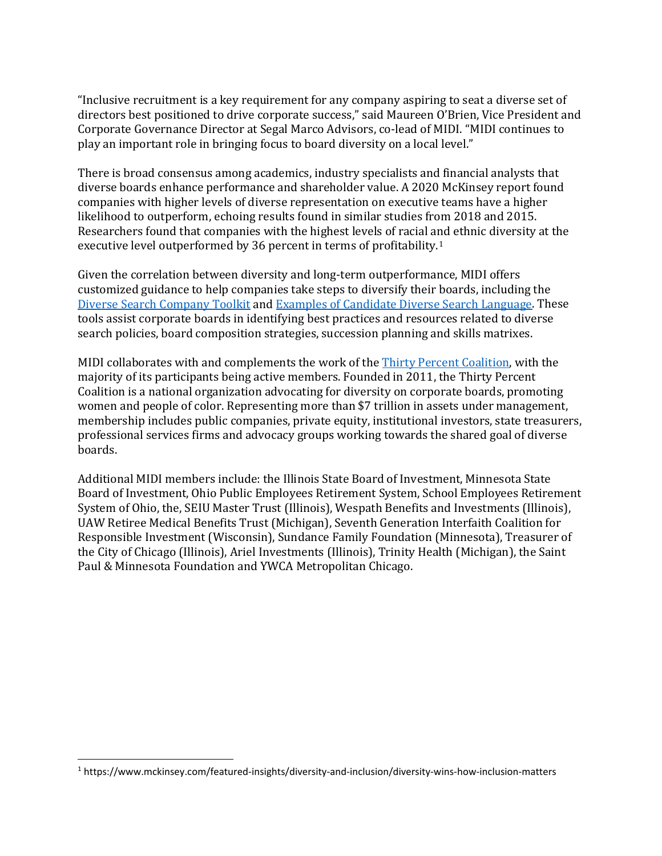"Inclusive recruitment is a key requirement for any company aspiring to seat a diverse set of directors best positioned to drive corporate success," said Maureen O'Brien, Vice President and Corporate Governance Director at Segal Marco Advisors, co-lead of MIDI. "MIDI continues to play an important role in bringing focus to board diversity on a local level."

executive level outperformed by 36 percent in terms of profitability. $1$ There is broad consensus among academics, industry specialists and financial analysts that diverse boards enhance performance and shareholder value. A 2020 McKinsey report found companies with higher levels of diverse representation on executive teams have a higher likelihood to outperform, echoing results found in similar studies from 2018 and 2015. Researchers found that companies with the highest levels of racial and ethnic diversity at the

 customized guidance to help companies take steps to diversify their boards, including the tools assist corporate boards in identifying best practices and resources related to diverse Given the correlation between diversity and long-term outperformance, MIDI offers [Diverse Search Company Toolkit](https://illinoistreasurergovprod.blob.core.usgovcloudapi.net/twocms/media/doc/diverse%20search%20company%20toolkit%20(1.8.2021).pdf) and [Examples of Candidate Diverse Search Language.](https://illinoistreasurergovprod.blob.core.usgovcloudapi.net/twocms/media/doc/examples%20of%20diverse%20candidate%20search%20language_07_30_20.pdf) These search policies, board composition strategies, succession planning and skills matrixes.

MIDI collaborates with and complements the work of the <u>Thirty Percent Coalition</u>, with the majority of its participants being active members. Founded in 2011, the Thirty Percent women and people of color. Representing more than \$7 trillion in assets under management, Coalition is a national organization advocating for diversity on corporate boards, promoting membership includes public companies, private equity, institutional investors, state treasurers, professional services firms and advocacy groups working towards the shared goal of diverse boards.

 Board of Investment, Ohio Public Employees Retirement System, School Employees Retirement System of Ohio, the, SEIU Master Trust (Illinois), Wespath Benefits and Investments (Illinois), Additional MIDI members include: the Illinois State Board of Investment, Minnesota State UAW Retiree Medical Benefits Trust (Michigan), Seventh Generation Interfaith Coalition for Responsible Investment (Wisconsin), Sundance Family Foundation (Minnesota), Treasurer of the City of Chicago (Illinois), Ariel Investments (Illinois), Trinity Health (Michigan), the Saint Paul & Minnesota Foundation and YWCA Metropolitan Chicago.

<span id="page-1-0"></span><sup>1</sup> <https://www.mckinsey.com/featured-insights/diversity-and-inclusion/diversity-wins-how-inclusion-matters>